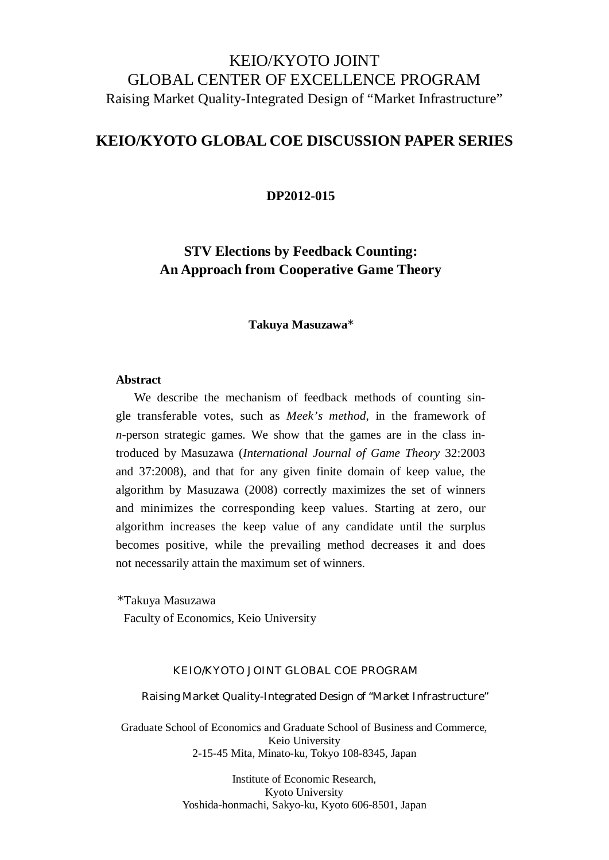# KEIO/KYOTO JOINT GLOBAL CENTER OF EXCELLENCE PROGRAM Raising Market Quality-Integrated Design of "Market Infrastructure"

### **KEIO/KYOTO GLOBAL COE DISCUSSION PAPER SERIES**

**DP2012-015**

## **STV Elections by Feedback Counting: An Approach from Cooperative Game Theory**

### **Takuya Masuzawa**\*

### **Abstract**

We describe the mechanism of feedback methods of counting single transferable votes, such as *Meek's method*, in the framework of *n*-person strategic games. We show that the games are in the class introduced by Masuzawa (*International Journal of Game Theory* 32:2003 and 37:2008), and that for any given finite domain of keep value, the algorithm by Masuzawa (2008) correctly maximizes the set of winners and minimizes the corresponding keep values. Starting at zero, our algorithm increases the keep value of any candidate until the surplus becomes positive, while the prevailing method decreases it and does not necessarily attain the maximum set of winners.

\*Takuya Masuzawa

Faculty of Economics, Keio University

### KEIO/KYOTO JOINT GLOBAL COE PROGRAM

Raising Market Quality-Integrated Design of "Market Infrastructure"

Graduate School of Economics and Graduate School of Business and Commerce, Keio University 2-15-45 Mita, Minato-ku, Tokyo 108-8345, Japan

> Institute of Economic Research, Kyoto University Yoshida-honmachi, Sakyo-ku, Kyoto 606-8501, Japan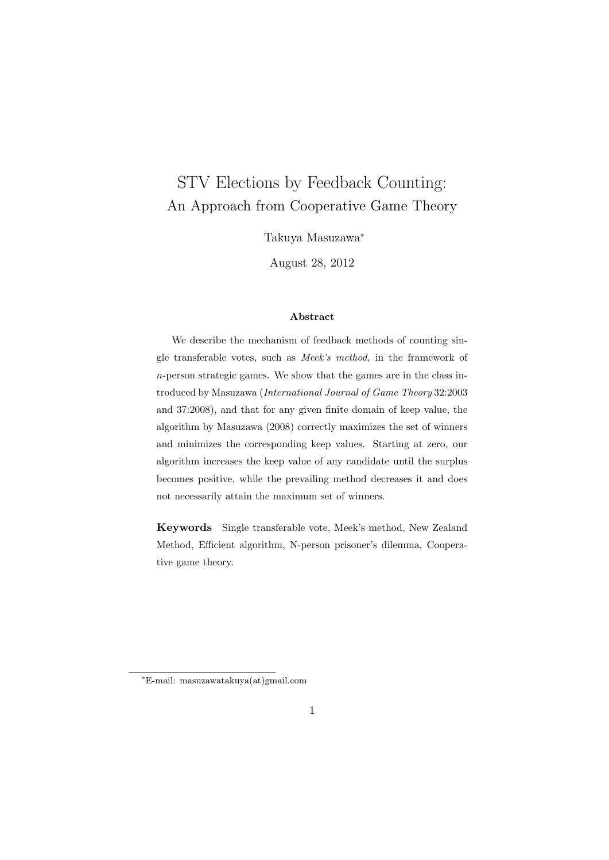# STV Elections by Feedback Counting: An Approach from Cooperative Game Theory

Takuya Masuzawa*<sup>∗</sup>*

August 28, 2012

#### **Abstract**

We describe the mechanism of feedback methods of counting single transferable votes, such as *Meek's method*, in the framework of *n*-person strategic games. We show that the games are in the class introduced by Masuzawa (*International Journal of Game Theory* 32:2003 and 37:2008), and that for any given finite domain of keep value, the algorithm by Masuzawa (2008) correctly maximizes the set of winners and minimizes the corresponding keep values. Starting at zero, our algorithm increases the keep value of any candidate until the surplus becomes positive, while the prevailing method decreases it and does not necessarily attain the maximum set of winners.

**Keywords** Single transferable vote, Meek's method, New Zealand Method, Efficient algorithm, N-person prisoner's dilemma, Cooperative game theory.

*<sup>∗</sup>*E-mail: masuzawatakuya(at)gmail.com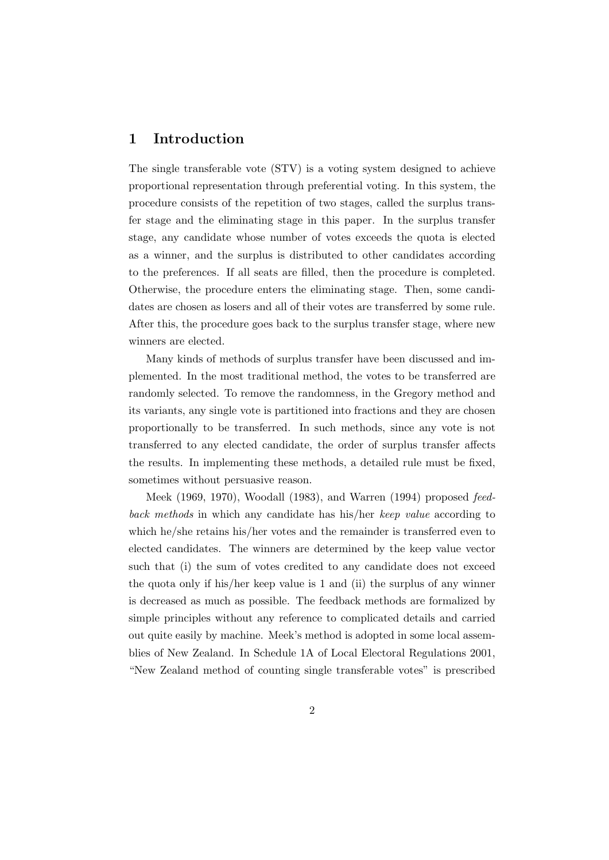### **1 Introduction**

The single transferable vote (STV) is a voting system designed to achieve proportional representation through preferential voting. In this system, the procedure consists of the repetition of two stages, called the surplus transfer stage and the eliminating stage in this paper. In the surplus transfer stage, any candidate whose number of votes exceeds the quota is elected as a winner, and the surplus is distributed to other candidates according to the preferences. If all seats are filled, then the procedure is completed. Otherwise, the procedure enters the eliminating stage. Then, some candidates are chosen as losers and all of their votes are transferred by some rule. After this, the procedure goes back to the surplus transfer stage, where new winners are elected.

Many kinds of methods of surplus transfer have been discussed and implemented. In the most traditional method, the votes to be transferred are randomly selected. To remove the randomness, in the Gregory method and its variants, any single vote is partitioned into fractions and they are chosen proportionally to be transferred. In such methods, since any vote is not transferred to any elected candidate, the order of surplus transfer affects the results. In implementing these methods, a detailed rule must be fixed, sometimes without persuasive reason.

Meek (1969, 1970), Woodall (1983), and Warren (1994) proposed *feedback methods* in which any candidate has his/her *keep value* according to which he/she retains his/her votes and the remainder is transferred even to elected candidates. The winners are determined by the keep value vector such that (i) the sum of votes credited to any candidate does not exceed the quota only if his/her keep value is 1 and (ii) the surplus of any winner is decreased as much as possible. The feedback methods are formalized by simple principles without any reference to complicated details and carried out quite easily by machine. Meek's method is adopted in some local assemblies of New Zealand. In Schedule 1A of Local Electoral Regulations 2001, "New Zealand method of counting single transferable votes" is prescribed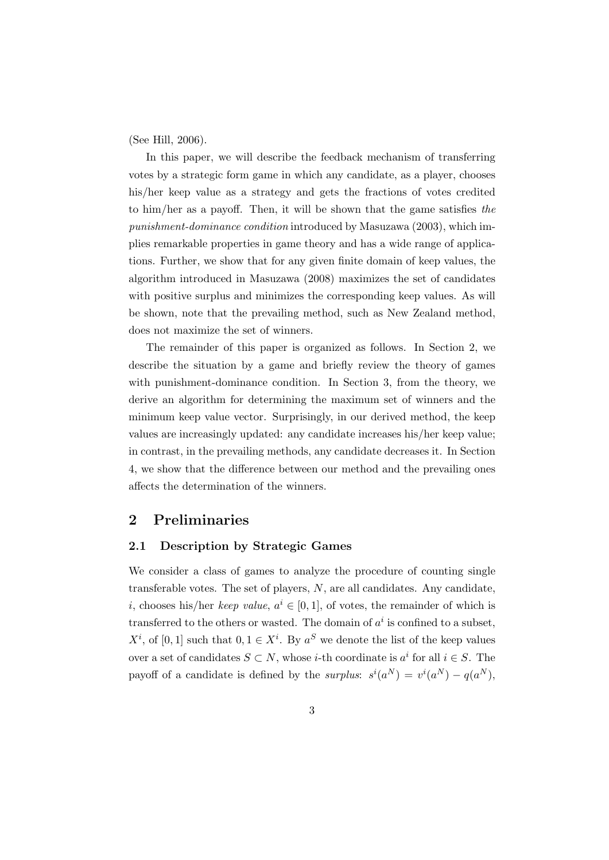(See Hill, 2006).

In this paper, we will describe the feedback mechanism of transferring votes by a strategic form game in which any candidate, as a player, chooses his/her keep value as a strategy and gets the fractions of votes credited to him/her as a payoff. Then, it will be shown that the game satisfies *the punishment-dominance condition* introduced by Masuzawa (2003), which implies remarkable properties in game theory and has a wide range of applications. Further, we show that for any given finite domain of keep values, the algorithm introduced in Masuzawa (2008) maximizes the set of candidates with positive surplus and minimizes the corresponding keep values. As will be shown, note that the prevailing method, such as New Zealand method, does not maximize the set of winners.

The remainder of this paper is organized as follows. In Section 2, we describe the situation by a game and briefly review the theory of games with punishment-dominance condition. In Section 3, from the theory, we derive an algorithm for determining the maximum set of winners and the minimum keep value vector. Surprisingly, in our derived method, the keep values are increasingly updated: any candidate increases his/her keep value; in contrast, in the prevailing methods, any candidate decreases it. In Section 4, we show that the difference between our method and the prevailing ones affects the determination of the winners.

### **2 Preliminaries**

### **2.1 Description by Strategic Games**

We consider a class of games to analyze the procedure of counting single transferable votes. The set of players, *N*, are all candidates. Any candidate, *i*, chooses his/her *keep value*,  $a^i \in [0,1]$ , of votes, the remainder of which is transferred to the others or wasted. The domain of  $a^i$  is confined to a subset,  $X^i$ , of [0, 1] such that  $0, 1 \in X^i$ . By  $a^S$  we denote the list of the keep values over a set of candidates  $S \subset N$ , whose *i*-th coordinate is  $a^i$  for all  $i \in S$ . The payoff of a candidate is defined by the *surplus*:  $s^{i}(a^{N}) = v^{i}(a^{N}) - q(a^{N}),$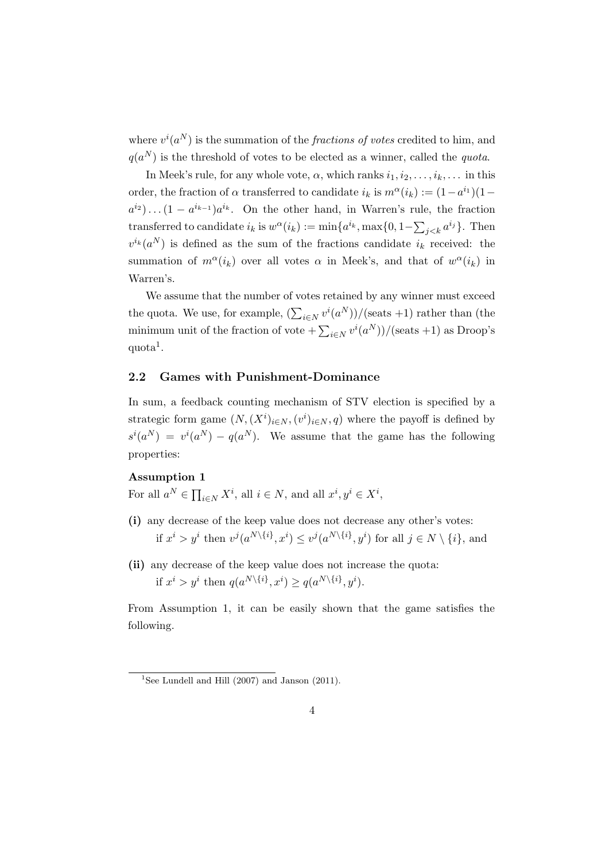where  $v^{i}(a^{N})$  is the summation of the *fractions of votes* credited to him, and  $q(a^N)$  is the threshold of votes to be elected as a winner, called the *quota*.

In Meek's rule, for any whole vote,  $\alpha$ , which ranks  $i_1, i_2, \ldots, i_k, \ldots$  in this order, the fraction of  $\alpha$  transferred to candidate  $i_k$  is  $m^{\alpha}(i_k) := (1 - a^{i_1})(1$  $a^{i_2}$ )...  $(1 - a^{i_{k-1}})a^{i_k}$ . On the other hand, in Warren's rule, the fraction transferred to candidate  $i_k$  is  $w^{\alpha}(i_k) := \min\{a^{i_k}, \max\{0, 1-\sum_{j < k} a^{i_j}\}.$  Then  $v^{i_k}(a^N)$  is defined as the sum of the fractions candidate  $i_k$  received: the summation of  $m^{\alpha}(i_k)$  over all votes  $\alpha$  in Meek's, and that of  $w^{\alpha}(i_k)$  in Warren's.

We assume that the number of votes retained by any winner must exceed the quota. We use, for example,  $(\sum_{i \in N} v^i(a^N)) / (\text{seats} + 1)$  rather than (the minimum unit of the fraction of vote  $+\sum_{i\in N} v^i(a^N)$ /(seats +1) as Droop's  $\text{quota}^1$ .

### **2.2 Games with Punishment-Dominance**

In sum, a feedback counting mechanism of STV election is specified by a strategic form game  $(N, (X^i)_{i \in N}, (v^i)_{i \in N}, q)$  where the payoff is defined by  $s^i(a^N) = v^i(a^N) - q(a^N)$ . We assume that the game has the following properties:

### **Assumption 1**

For all  $a^N \in \prod_{i \in N} X^i$ , all  $i \in N$ , and all  $x^i, y^i \in X^i$ ,

- **(i)** any decrease of the keep value does not decrease any other's votes: if  $x^i > y^i$  then  $v^j(a^{N\setminus\{i\}}, x^i) \leq v^j(a^{N\setminus\{i\}}, y^i)$  for all  $j \in N \setminus \{i\}$ , and
- **(ii)** any decrease of the keep value does not increase the quota: if  $x^i > y^i$  then  $q(a^{N\setminus\{i\}}, x^i) \geq q(a^{N\setminus\{i\}}, y^i)$ .

From Assumption 1, it can be easily shown that the game satisfies the following.

<sup>&</sup>lt;sup>1</sup>See Lundell and Hill  $(2007)$  and Janson  $(2011)$ .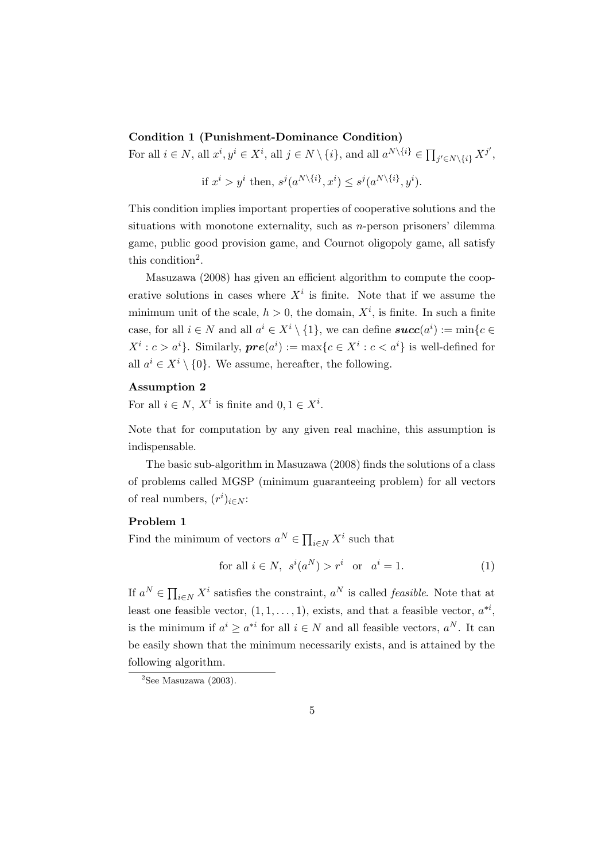### **Condition 1 (Punishment-Dominance Condition)**

For all  $i \in N$ , all  $x^i, y^i \in X^i$ , all  $j \in N \setminus \{i\}$ , and all  $a^{N \setminus \{i\}} \in \prod_{j' \in N \setminus \{i\}} X^{j'}$ ,

if 
$$
x^i > y^i
$$
 then,  $s^j(a^{N\setminus\{i\}}, x^i) \leq s^j(a^{N\setminus\{i\}}, y^i)$ .

This condition implies important properties of cooperative solutions and the situations with monotone externality, such as *n*-person prisoners' dilemma game, public good provision game, and Cournot oligopoly game, all satisfy this condition<sup>2</sup>.

Masuzawa (2008) has given an efficient algorithm to compute the cooperative solutions in cases where  $X^i$  is finite. Note that if we assume the minimum unit of the scale,  $h > 0$ , the domain,  $X^i$ , is finite. In such a finite case, for all  $i \in N$  and all  $a^i \in X^i \setminus \{1\}$ , we can define  $succ(a^i) := \min\{c \in \{1\}$  $X^i: c > a^i$ . Similarly,  $\boldsymbol{pre}(a^i) := \max\{c \in X^i: c < a^i\}$  is well-defined for all  $a^i \in X^i \setminus \{0\}$ . We assume, hereafter, the following.

### **Assumption 2**

For all  $i \in N$ ,  $X^i$  is finite and  $0, 1 \in X^i$ .

Note that for computation by any given real machine, this assumption is indispensable.

The basic sub-algorithm in Masuzawa (2008) finds the solutions of a class of problems called MGSP (minimum guaranteeing problem) for all vectors of real numbers,  $(r^i)_{i \in N}$ :

### **Problem 1**

Find the minimum of vectors  $a^N \in \prod_{i \in N} X^i$  such that

$$
for all  $i \in N$ ,  $s^i(a^N) > r^i$  or  $a^i = 1$ . (1)
$$

If  $a^N \in \prod_{i \in N} X^i$  satisfies the constraint,  $a^N$  is called *feasible*. Note that at least one feasible vector,  $(1, 1, \ldots, 1)$ , exists, and that a feasible vector,  $a^{*i}$ , is the minimum if  $a^i \geq a^{*i}$  for all  $i \in N$  and all feasible vectors,  $a^N$ . It can be easily shown that the minimum necessarily exists, and is attained by the following algorithm.

 ${}^{2}$ See Masuzawa (2003).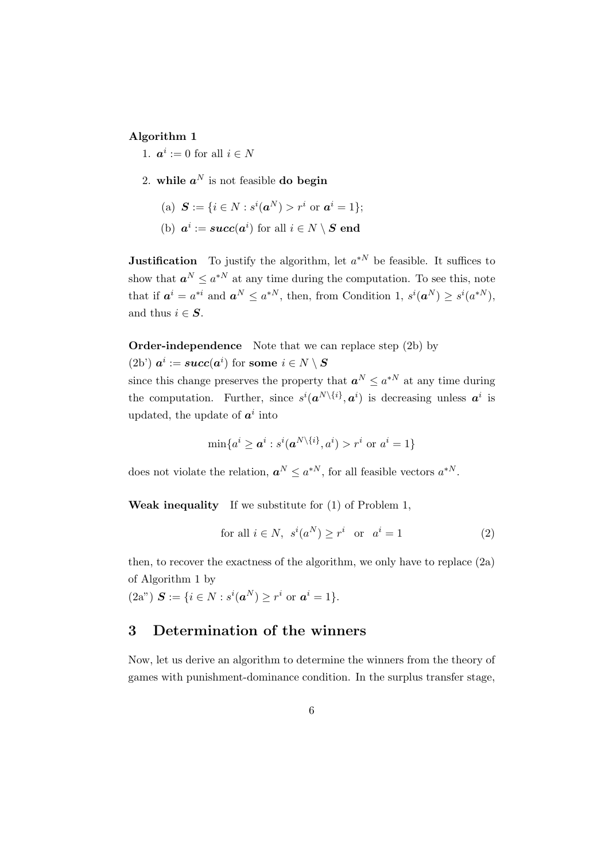#### **Algorithm 1**

- 1.  $a^i := 0$  for all  $i \in N$
- 2. while  $a^N$  is not feasible **do begin** 
	- $S := \{ i \in N : s^i(a^N) > r^i \text{ or } a^i = 1 \};$
	- (b)  $a^i := succ(a^i)$  for all  $i \in N \setminus S$  end

**Justification** To justify the algorithm, let  $a^{*N}$  be feasible. It suffices to show that  $a^N \leq a^{*N}$  at any time during the computation. To see this, note that if  $a^i = a^{*i}$  and  $a^N \leq a^{*N}$ , then, from Condition 1,  $s^i(a^N) \geq s^i(a^{*N})$ , and thus  $i \in S$ .

**Order-independence** Note that we can replace step (2b) by

 $(2b')$   $a^i := succ(a^i)$  for some  $i \in N \setminus S$ 

since this change preserves the property that  $a^N \leq a^{*N}$  at any time during the computation. Further, since  $s^{i}(\boldsymbol{a}^{N\setminus\{i\}}, \boldsymbol{a}^{i})$  is decreasing unless  $\boldsymbol{a}^{i}$  is updated, the update of  $a^i$  into

$$
\min\{a^i \ge a^i : s^i(a^{N\setminus\{i\}}, a^i) > r^i \text{ or } a^i = 1\}
$$

does not violate the relation,  $a^N \leq a^{*N}$ , for all feasible vectors  $a^{*N}$ .

**Weak inequality** If we substitute for (1) of Problem 1,

$$
for all  $i \in N$ ,  $s^i(a^N) \ge r^i$  or  $a^i = 1$  (2)
$$

then, to recover the exactness of the algorithm, we only have to replace (2a) of Algorithm 1 by

 $(2a^{n})$   $S := \{i \in N : s^{i}(a^{N}) \geq r^{i} \text{ or } a^{i} = 1\}.$ 

### **3 Determination of the winners**

Now, let us derive an algorithm to determine the winners from the theory of games with punishment-dominance condition. In the surplus transfer stage,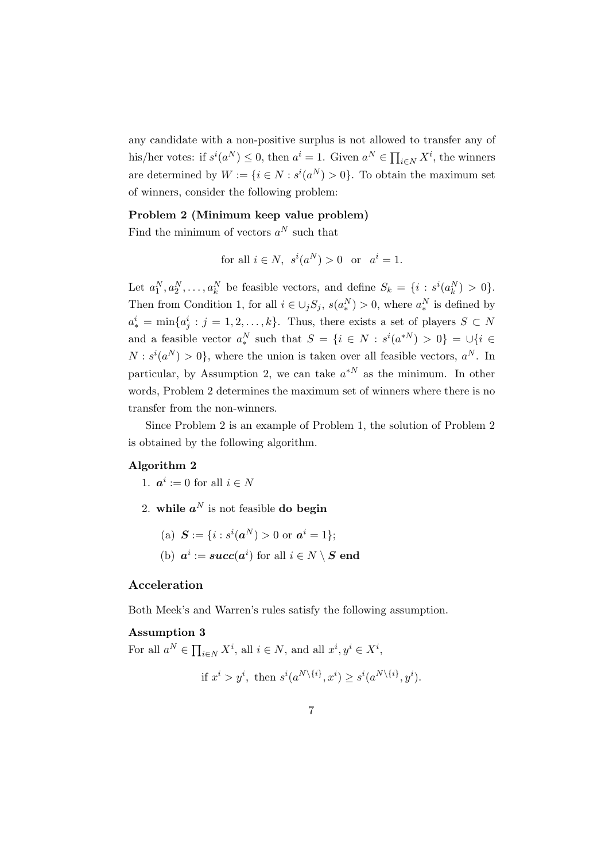any candidate with a non-positive surplus is not allowed to transfer any of his/her votes: if  $s^i(a^N) \leq 0$ , then  $a^i = 1$ . Given  $a^N \in \prod_{i \in N} X^i$ , the winners are determined by  $W := \{i \in N : s^i(a^N) > 0\}$ . To obtain the maximum set of winners, consider the following problem:

### **Problem 2 (Minimum keep value problem)**

Find the minimum of vectors  $a^N$  such that

for all 
$$
i \in N
$$
,  $s^i(a^N) > 0$  or  $a^i = 1$ .

Let  $a_1^N, a_2^N, \ldots, a_k^N$  be feasible vectors, and define  $S_k = \{i : s^i(a_k^N) > 0\}.$ Then from Condition 1, for all  $i \in \bigcup_j S_j$ ,  $s(a_*^N) > 0$ , where  $a_*^N$  is defined by  $a_*^i = \min\{a_j^i : j = 1, 2, \ldots, k\}$ . Thus, there exists a set of players  $S \subset N$ and a feasible vector  $a_*^N$  such that  $S = \{i \in N : s^i(a^{*N}) > 0\} = \cup\{i \in N : s^i(a^{*N}) > 0\}$  $N: s^i(a^N) > 0$ , where the union is taken over all feasible vectors,  $a^N$ . In particular, by Assumption 2, we can take *a <sup>∗</sup><sup>N</sup>* as the minimum. In other words, Problem 2 determines the maximum set of winners where there is no transfer from the non-winners.

Since Problem 2 is an example of Problem 1, the solution of Problem 2 is obtained by the following algorithm.

### **Algorithm 2**

1.  $a^i := 0$  for all  $i \in N$ 

2. while  $a^N$  is not feasible **do begin** 

(a)  $S := \{i : s^i(a^N) > 0 \text{ or } a^i = 1\};$ 

(b)  $a^i := succ(a^i)$  for all  $i \in N \setminus S$  end

### **Acceleration**

Both Meek's and Warren's rules satisfy the following assumption.

### **Assumption 3**

For all  $a^N \in \prod_{i \in N} X^i$ , all  $i \in N$ , and all  $x^i, y^i \in X^i$ ,

if 
$$
x^i > y^i
$$
, then  $s^i(a^{N\setminus\{i\}}, x^i) \geq s^i(a^{N\setminus\{i\}}, y^i)$ .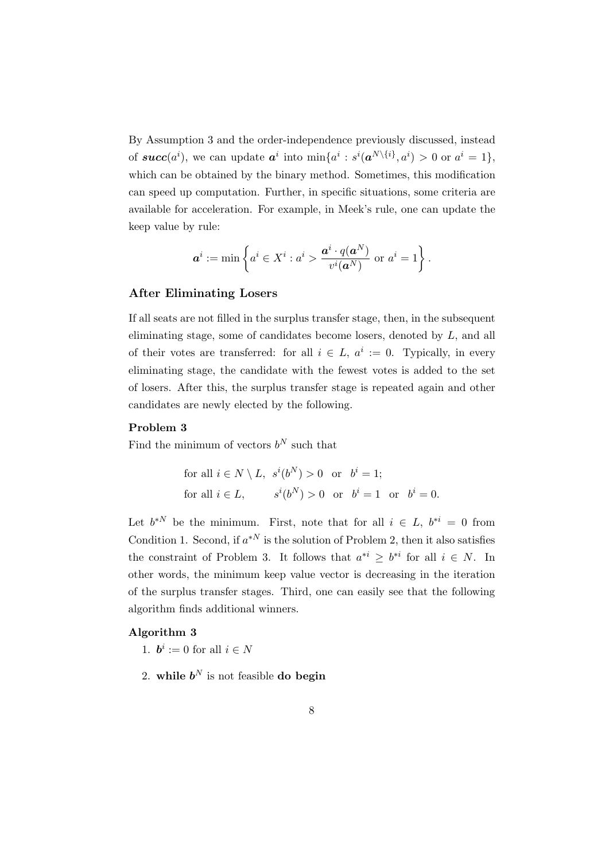By Assumption 3 and the order-independence previously discussed, instead of  $succ(a^i)$ , we can update  $a^i$  into  $\min\{a^i : s^i(a^{N\setminus\{i\}}, a^i) > 0$  or  $a^i = 1\},$ which can be obtained by the binary method. Sometimes, this modification can speed up computation. Further, in specific situations, some criteria are available for acceleration. For example, in Meek's rule, one can update the keep value by rule:

$$
\boldsymbol{a}^i := \min\left\{a^i \in X^i: a^i > \frac{\boldsymbol{a}^i \cdot q(\boldsymbol{a}^N)}{v^i(\boldsymbol{a}^N)} \text{ or } a^i = 1\right\}.
$$

#### **After Eliminating Losers**

If all seats are not filled in the surplus transfer stage, then, in the subsequent eliminating stage, some of candidates become losers, denoted by *L*, and all of their votes are transferred: for all  $i \in L$ ,  $a^i := 0$ . Typically, in every eliminating stage, the candidate with the fewest votes is added to the set of losers. After this, the surplus transfer stage is repeated again and other candidates are newly elected by the following.

### **Problem 3**

Find the minimum of vectors  $b^N$  such that

for all 
$$
i \in N \setminus L
$$
,  $s^i(b^N) > 0$  or  $b^i = 1$ ;  
for all  $i \in L$ ,  $s^i(b^N) > 0$  or  $b^i = 1$  or  $b^i = 0$ .

Let  $b^{*N}$  be the minimum. First, note that for all  $i \in L$ ,  $b^{*i} = 0$  from Condition 1. Second, if  $a^{*N}$  is the solution of Problem 2, then it also satisfies the constraint of Problem 3. It follows that  $a^{*i} \geq b^{*i}$  for all  $i \in N$ . In other words, the minimum keep value vector is decreasing in the iteration of the surplus transfer stages. Third, one can easily see that the following algorithm finds additional winners.

### **Algorithm 3**

- 1.  $\mathbf{b}^i := 0$  for all  $i \in \mathbb{N}$
- 2. while  $b^N$  is not feasible **do begin**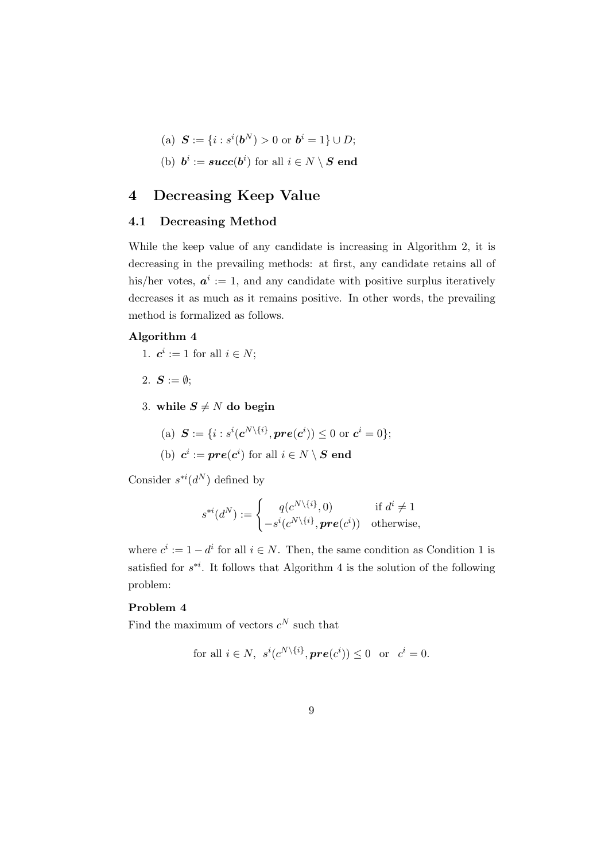- $S := \{ i : s^i(b^N) > 0 \text{ or } b^i = 1 \} \cup D;$
- (b)  $b^i := succ(b^i)$  for all  $i \in N \setminus S$  end

### **4 Decreasing Keep Value**

### **4.1 Decreasing Method**

While the keep value of any candidate is increasing in Algorithm 2, it is decreasing in the prevailing methods: at first, any candidate retains all of his/her votes,  $a^i := 1$ , and any candidate with positive surplus iteratively decreases it as much as it remains positive. In other words, the prevailing method is formalized as follows.

### **Algorithm 4**

- 1.  $c^i := 1$  for all  $i \in N$ ;
- 2.  $S := \emptyset$ ;
- 3. while  $S \neq N$  do begin
	- $S := \{i : s^i(c^{N \setminus \{i\}}, pre(c^i)) \leq 0 \text{ or } c^i = 0\};\$
	- (b)  $c^i := pre(c^i)$  for all  $i \in N \setminus S$  end

Consider  $s^{*i}(d^N)$  defined by

$$
s^{*i}(d^N) := \begin{cases} q(c^{N\setminus\{i\}}, 0) & \text{if } d^i \neq 1 \\ -s^i(c^{N\setminus\{i\}}, pre(c^i)) & \text{otherwise,} \end{cases}
$$

where  $c^i := 1 - d^i$  for all  $i \in N$ . Then, the same condition as Condition 1 is satisfied for  $s^{*i}$ . It follows that Algorithm 4 is the solution of the following problem:

### **Problem 4**

Find the maximum of vectors  $c^N$  such that

for all 
$$
i \in N
$$
,  $s^i(c^{N\setminus\{i\}}, pre(c^i)) \leq 0$  or  $c^i = 0$ .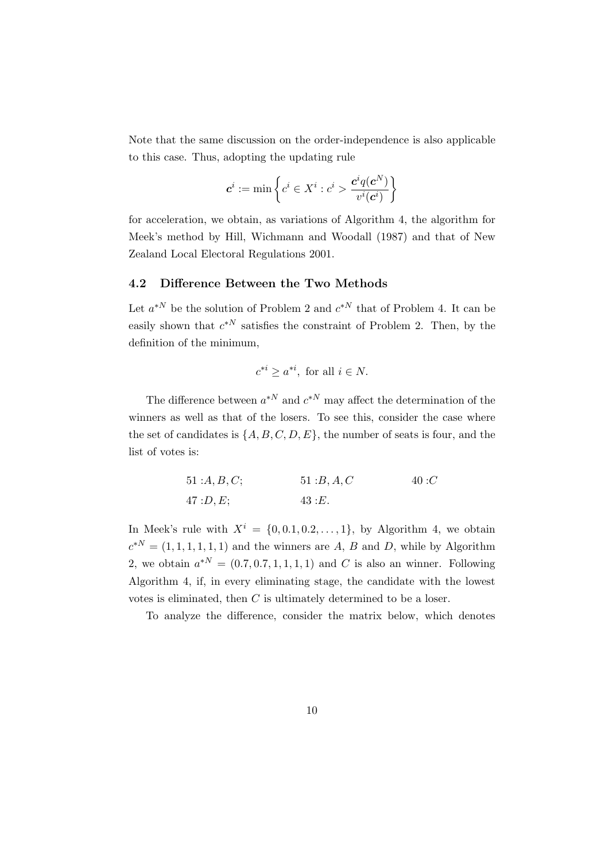Note that the same discussion on the order-independence is also applicable to this case. Thus, adopting the updating rule

$$
\boldsymbol{c}^i := \min\left\{c^i \in X^i : c^i > \frac{\boldsymbol{c}^i q(\boldsymbol{c}^N)}{v^i(\boldsymbol{c}^i)}\right\}
$$

for acceleration, we obtain, as variations of Algorithm 4, the algorithm for Meek's method by Hill, Wichmann and Woodall (1987) and that of New Zealand Local Electoral Regulations 2001.

### **4.2 Difference Between the Two Methods**

Let  $a^{*N}$  be the solution of Problem 2 and  $c^{*N}$  that of Problem 4. It can be easily shown that  $c^{*N}$  satisfies the constraint of Problem 2. Then, by the definition of the minimum,

$$
c^{*i} \ge a^{*i}, \text{ for all } i \in N.
$$

The difference between  $a^{*N}$  and  $c^{*N}$  may affect the determination of the winners as well as that of the losers. To see this, consider the case where the set of candidates is  $\{A, B, C, D, E\}$ , the number of seats is four, and the list of votes is:

> 51 :*A, B, C*; 51 :*B, A, C* 40 :*C* 47 :*D, E*; 43 :*E.*

In Meek's rule with  $X^i = \{0, 0.1, 0.2, \ldots, 1\}$ , by Algorithm 4, we obtain  $c^{*N} = (1, 1, 1, 1, 1, 1)$  and the winners are *A*, *B* and *D*, while by Algorithm 2, we obtain  $a^{*N} = (0.7, 0.7, 1, 1, 1, 1)$  and C is also an winner. Following Algorithm 4, if, in every eliminating stage, the candidate with the lowest votes is eliminated, then *C* is ultimately determined to be a loser.

To analyze the difference, consider the matrix below, which denotes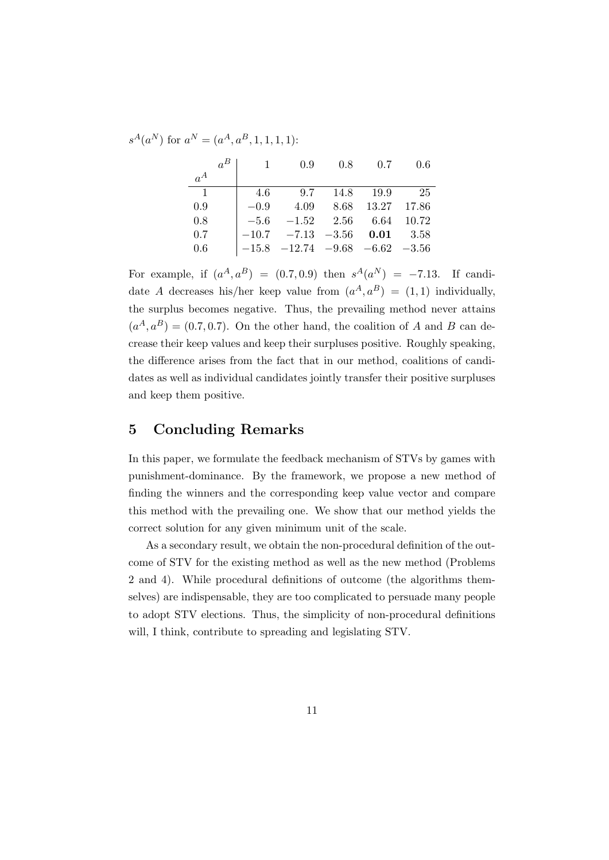$s^A(a^N)$  for  $a^N = (a^A, a^B, 1, 1, 1, 1)$ :

|                | $\overline{1}$ | 0.9                                                                    | 0.8                   | 0.7       | 0.6 |
|----------------|----------------|------------------------------------------------------------------------|-----------------------|-----------|-----|
| $a^A$          |                |                                                                        |                       |           |     |
| $\overline{1}$ | -4.6           | 9.7                                                                    |                       | 14.8 19.9 | 25  |
| 0.9            | $-0.9$         |                                                                        | 4.09 8.68 13.27 17.86 |           |     |
| 0.8            |                | $-5.6$ $-1.52$ $2.56$ $6.64$ $10.72$                                   |                       |           |     |
| 0.7            |                | $-10.7$ $-7.13$ $-3.56$ <b>0.01</b> 3.58                               |                       |           |     |
| 0.6            |                | $\begin{vmatrix} -15.8 & -12.74 & -9.68 & -6.62 & -3.56 \end{vmatrix}$ |                       |           |     |

For example, if  $(a^A, a^B) = (0.7, 0.9)$  then  $s^A(a^N) = -7.13$ . If candidate *A* decreases his/her keep value from  $(a^A, a^B) = (1, 1)$  individually, the surplus becomes negative. Thus, the prevailing method never attains  $(a<sup>A</sup>, a<sup>B</sup>) = (0.7, 0.7)$ . On the other hand, the coalition of *A* and *B* can decrease their keep values and keep their surpluses positive. Roughly speaking, the difference arises from the fact that in our method, coalitions of candidates as well as individual candidates jointly transfer their positive surpluses and keep them positive.

### **5 Concluding Remarks**

In this paper, we formulate the feedback mechanism of STVs by games with punishment-dominance. By the framework, we propose a new method of finding the winners and the corresponding keep value vector and compare this method with the prevailing one. We show that our method yields the correct solution for any given minimum unit of the scale.

As a secondary result, we obtain the non-procedural definition of the outcome of STV for the existing method as well as the new method (Problems 2 and 4). While procedural definitions of outcome (the algorithms themselves) are indispensable, they are too complicated to persuade many people to adopt STV elections. Thus, the simplicity of non-procedural definitions will, I think, contribute to spreading and legislating STV.